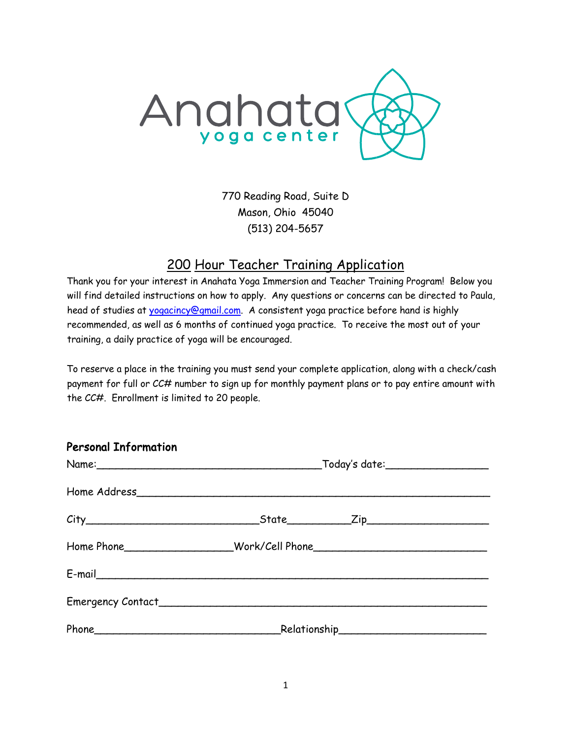

770 Reading Road, Suite D Mason, Ohio 45040 (513) 204-5657

# 200 Hour Teacher Training Application

Thank you for your interest in Anahata Yoga Immersion and Teacher Training Program! Below you will find detailed instructions on how to apply. Any questions or concerns can be directed to Paula, head of studies at yogacincy@gmail.com. A consistent yoga practice before hand is highly recommended, as well as 6 months of continued yoga practice. To receive the most out of your training, a daily practice of yoga will be encouraged.

To reserve a place in the training you must send your complete application, along with a check/cash payment for full or CC# number to sign up for monthly payment plans or to pay entire amount with the CC#. Enrollment is limited to 20 people.

| <b>Personal Information</b> |  |  |  |  |  |
|-----------------------------|--|--|--|--|--|
|                             |  |  |  |  |  |
|                             |  |  |  |  |  |
|                             |  |  |  |  |  |
|                             |  |  |  |  |  |
|                             |  |  |  |  |  |
|                             |  |  |  |  |  |
|                             |  |  |  |  |  |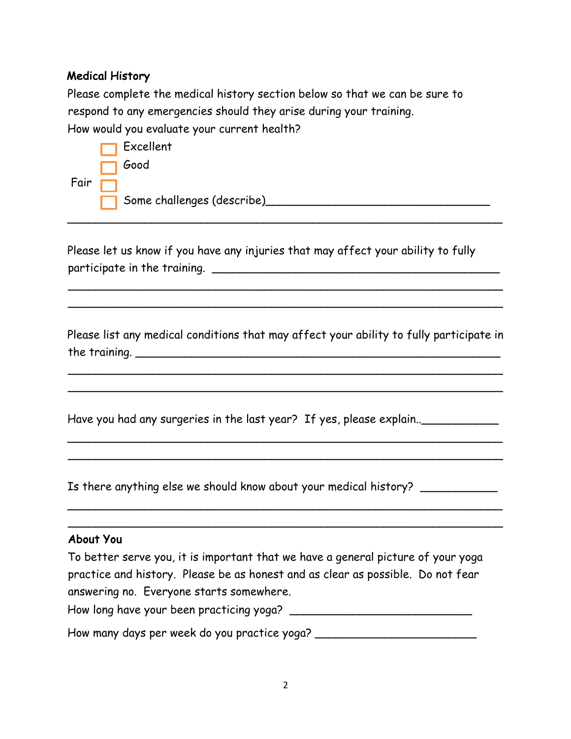# Medical History

Please complete the medical history section below so that we can be sure to respond to any emergencies should they arise during your training. How would you evaluate your current health?

|             | $\Box$ Excellent           |
|-------------|----------------------------|
|             | <b>Sood</b>                |
| Fair $\Box$ |                            |
|             | Some challenges (describe) |

Please let us know if you have any injuries that may affect your ability to fully participate in the training. \_\_\_\_\_\_\_\_\_\_\_\_\_\_\_\_\_\_\_\_\_\_\_\_\_\_\_\_\_\_\_\_\_\_\_\_\_\_\_\_\_

\_\_\_\_\_\_\_\_\_\_\_\_\_\_\_\_\_\_\_\_\_\_\_\_\_\_\_\_\_\_\_\_\_\_\_\_\_\_\_\_\_\_\_\_\_\_\_\_\_\_\_\_\_\_\_\_\_\_\_\_\_\_

Please list any medical conditions that may affect your ability to fully participate in the training. \_\_\_\_\_\_\_\_\_\_\_\_\_\_\_\_\_\_\_\_\_\_\_\_\_\_\_\_\_\_\_\_\_\_\_\_\_\_\_\_\_\_\_\_\_\_\_\_\_\_\_\_

 $\overline{\phantom{a}}$  $\overline{\phantom{a}}$ 

\_\_\_\_\_\_\_\_\_\_\_\_\_\_\_\_\_\_\_\_\_\_\_\_\_\_\_\_\_\_\_\_\_\_\_\_\_\_\_\_\_\_\_\_\_\_\_\_\_\_\_\_\_\_\_\_\_\_\_\_\_\_

\_\_\_\_\_\_\_\_\_\_\_\_\_\_\_\_\_\_\_\_\_\_\_\_\_\_\_\_\_\_\_\_\_\_\_\_\_\_\_\_\_\_\_\_\_\_\_\_\_\_\_\_\_\_\_\_\_\_\_\_\_\_  $\overline{\phantom{a}}$ 

\_\_\_\_\_\_\_\_\_\_\_\_\_\_\_\_\_\_\_\_\_\_\_\_\_\_\_\_\_\_\_\_\_\_\_\_\_\_\_\_\_\_\_\_\_\_\_\_\_\_\_\_\_\_\_\_\_\_\_\_\_\_

 $\overline{\phantom{a}}$  $\overline{\phantom{a}}$ 

Have you had any surgeries in the last year? If yes, please explain..

Is there anything else we should know about your medical history? \_\_\_\_\_\_\_\_\_\_\_\_\_

### About You

To better serve you, it is important that we have a general picture of your yoga practice and history. Please be as honest and as clear as possible. Do not fear answering no. Everyone starts somewhere.

How long have your been practicing yoga?

How many days per week do you practice yoga? \_\_\_\_\_\_\_\_\_\_\_\_\_\_\_\_\_\_\_\_\_\_\_\_\_\_\_\_\_\_\_\_\_\_\_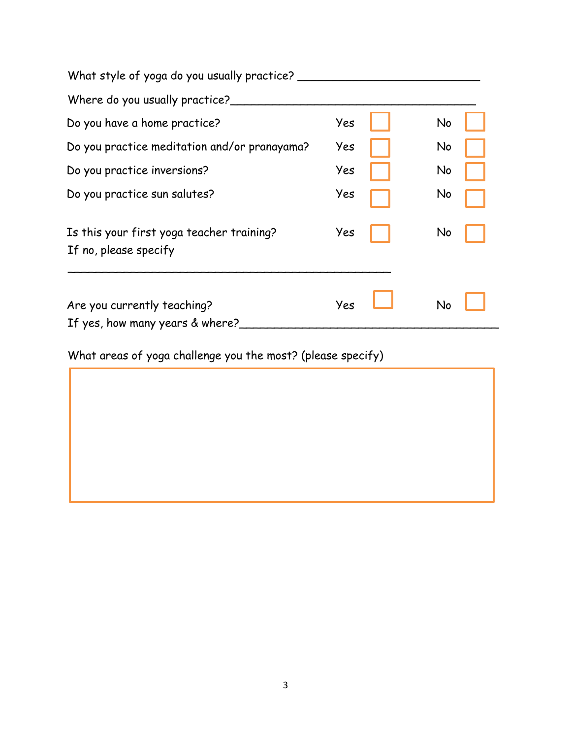| What style of yoga do you usually practice?                        |     |    |
|--------------------------------------------------------------------|-----|----|
| Where do you usually practice?                                     |     |    |
| Do you have a home practice?                                       | Yes | No |
| Do you practice meditation and/or pranayama?                       | Yes | No |
| Do you practice inversions?                                        | Yes | No |
| Do you practice sun salutes?                                       | Yes | No |
| Is this your first yoga teacher training?<br>If no, please specify | Yes | No |
| Are you currently teaching?<br>If yes, how many years & where?     | Yes | No |

What areas of yoga challenge you the most? (please specify)

l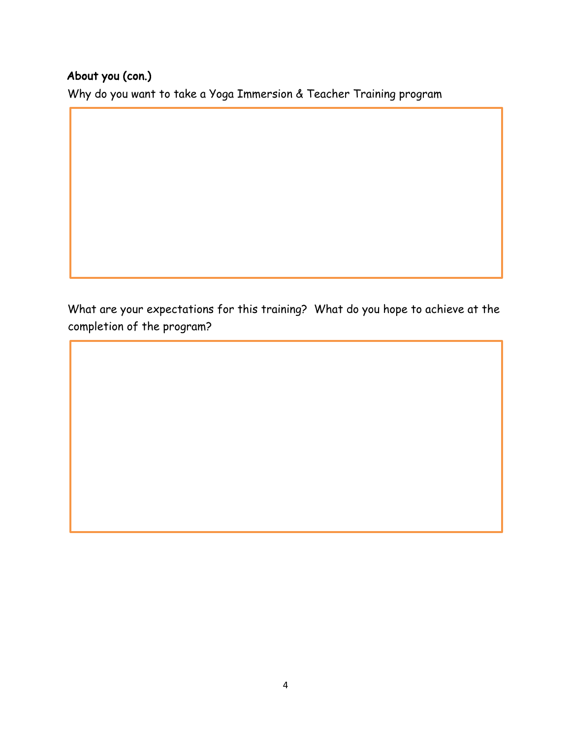# About you (con.)

Ï I I I I I I I I I

I I I I I I I

Why do you want to take a Yoga Immersion & Teacher Training program

What are your expectations for this training? What do you hope to achieve at the completion of the program?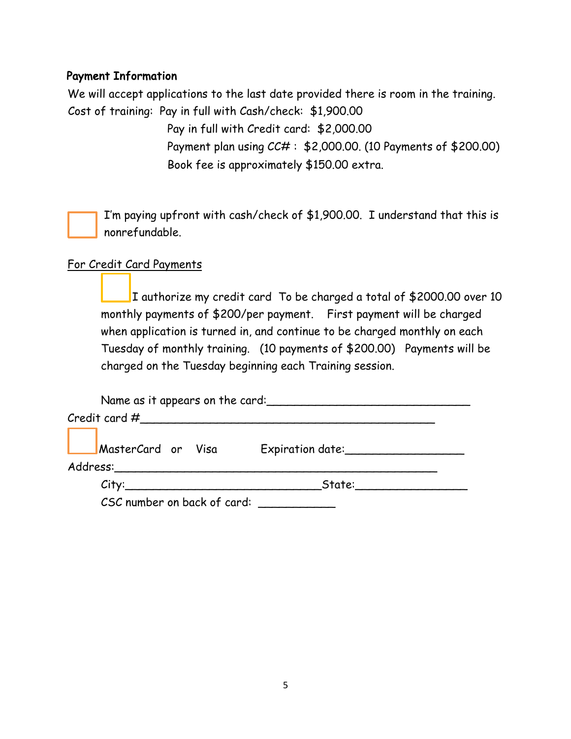# Payment Information

We will accept applications to the last date provided there is room in the training. Cost of training: Pay in full with Cash/check: \$1,900.00

> Pay in full with Credit card: \$2,000.00 Payment plan using CC# : \$2,000.00. (10 Payments of \$200.00) Book fee is approximately \$150.00 extra.

I'm paying upfront with cash/check of \$1,900.00. I understand that this is nonrefundable.

## For Credit Card Payments

 I authorize my credit card To be charged a total of \$2000.00 over 10 monthly payments of \$200/per payment. First payment will be charged when application is turned in, and continue to be charged monthly on each Tuesday of monthly training. (10 payments of \$200.00) Payments will be charged on the Tuesday beginning each Training session.

| Name as it appears on the card: |                     |  |  |  |  |
|---------------------------------|---------------------|--|--|--|--|
|                                 |                     |  |  |  |  |
| MasterCard or Visa              | Expiration date:    |  |  |  |  |
| City:                           | State: <b>State</b> |  |  |  |  |
| CSC number on back of card:     |                     |  |  |  |  |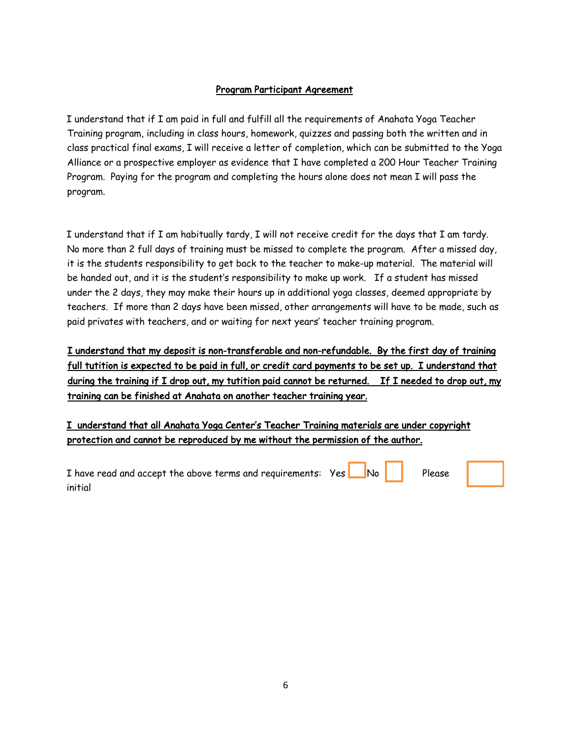#### Program Participant Agreement

I understand that if I am paid in full and fulfill all the requirements of Anahata Yoga Teacher Training program, including in class hours, homework, quizzes and passing both the written and in class practical final exams, I will receive a letter of completion, which can be submitted to the Yoga Alliance or a prospective employer as evidence that I have completed a 200 Hour Teacher Training Program. Paying for the program and completing the hours alone does not mean I will pass the program.

I understand that if I am habitually tardy, I will not receive credit for the days that I am tardy. No more than 2 full days of training must be missed to complete the program. After a missed day, it is the students responsibility to get back to the teacher to make-up material. The material will be handed out, and it is the student's responsibility to make up work. If a student has missed under the 2 days, they may make their hours up in additional yoga classes, deemed appropriate by teachers. If more than 2 days have been missed, other arrangements will have to be made, such as paid privates with teachers, and or waiting for next years' teacher training program.

I understand that my deposit is non-transferable and non-refundable. By the first day of training full tutition is expected to be paid in full, or credit card payments to be set up. I understand that during the training if I drop out, my tutition paid cannot be returned. If I needed to drop out, my training can be finished at Anahata on another teacher training year.

I understand that all Anahata Yoga Center's Teacher Training materials are under copyright protection and cannot be reproduced by me without the permission of the author.

| I have read and accept the above terms and requirements: Yes No No Please |  |  |
|---------------------------------------------------------------------------|--|--|
| initial                                                                   |  |  |